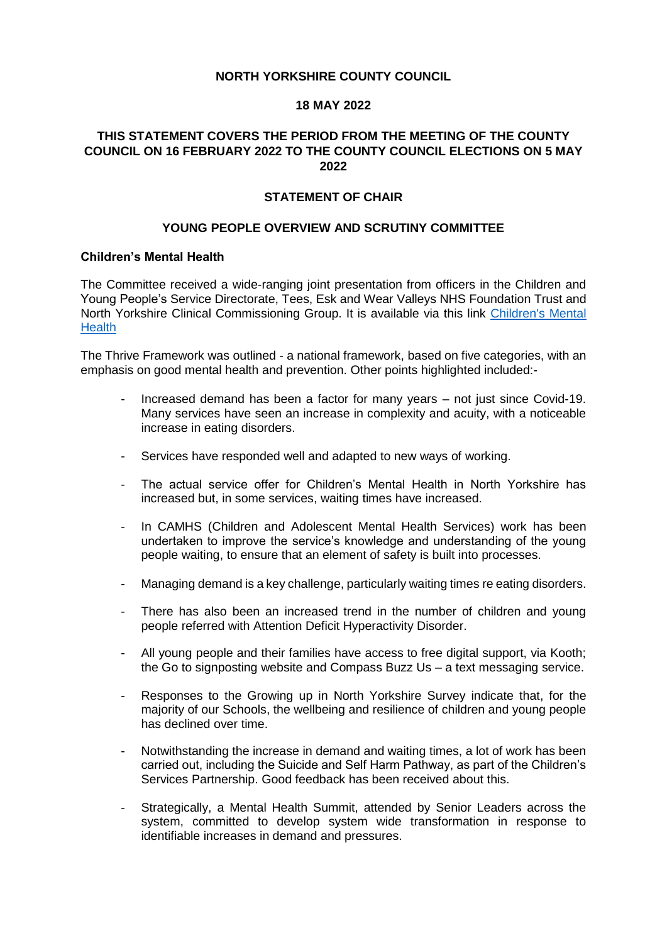### **NORTH YORKSHIRE COUNTY COUNCIL**

### **18 MAY 2022**

# **THIS STATEMENT COVERS THE PERIOD FROM THE MEETING OF THE COUNTY COUNCIL ON 16 FEBRUARY 2022 TO THE COUNTY COUNCIL ELECTIONS ON 5 MAY 2022**

### **STATEMENT OF CHAIR**

### **YOUNG PEOPLE OVERVIEW AND SCRUTINY COMMITTEE**

#### **Children's Mental Health**

The Committee received a wide-ranging joint presentation from officers in the Children and Young People's Service Directorate, Tees, Esk and Wear Valleys NHS Foundation Trust and North Yorkshire Clinical Commissioning Group. It is available via this link [Children's Mental](https://edemocracy.northyorks.gov.uk/documents/s11448/06%20Childrens%20Mental%20Health%20Presentation%2025.2.22.pdf)  **[Health](https://edemocracy.northyorks.gov.uk/documents/s11448/06%20Childrens%20Mental%20Health%20Presentation%2025.2.22.pdf)** 

The Thrive Framework was outlined - a national framework, based on five categories, with an emphasis on good mental health and prevention. Other points highlighted included:-

- Increased demand has been a factor for many years not just since Covid-19. Many services have seen an increase in complexity and acuity, with a noticeable increase in eating disorders.
- Services have responded well and adapted to new ways of working.
- The actual service offer for Children's Mental Health in North Yorkshire has increased but, in some services, waiting times have increased.
- In CAMHS (Children and Adolescent Mental Health Services) work has been undertaken to improve the service's knowledge and understanding of the young people waiting, to ensure that an element of safety is built into processes.
- Managing demand is a key challenge, particularly waiting times re eating disorders.
- There has also been an increased trend in the number of children and young people referred with Attention Deficit Hyperactivity Disorder.
- All young people and their families have access to free digital support, via Kooth; the Go to signposting website and Compass Buzz Us – a text messaging service.
- Responses to the Growing up in North Yorkshire Survey indicate that, for the majority of our Schools, the wellbeing and resilience of children and young people has declined over time.
- Notwithstanding the increase in demand and waiting times, a lot of work has been carried out, including the Suicide and Self Harm Pathway, as part of the Children's Services Partnership. Good feedback has been received about this.
- Strategically, a Mental Health Summit, attended by Senior Leaders across the system, committed to develop system wide transformation in response to identifiable increases in demand and pressures.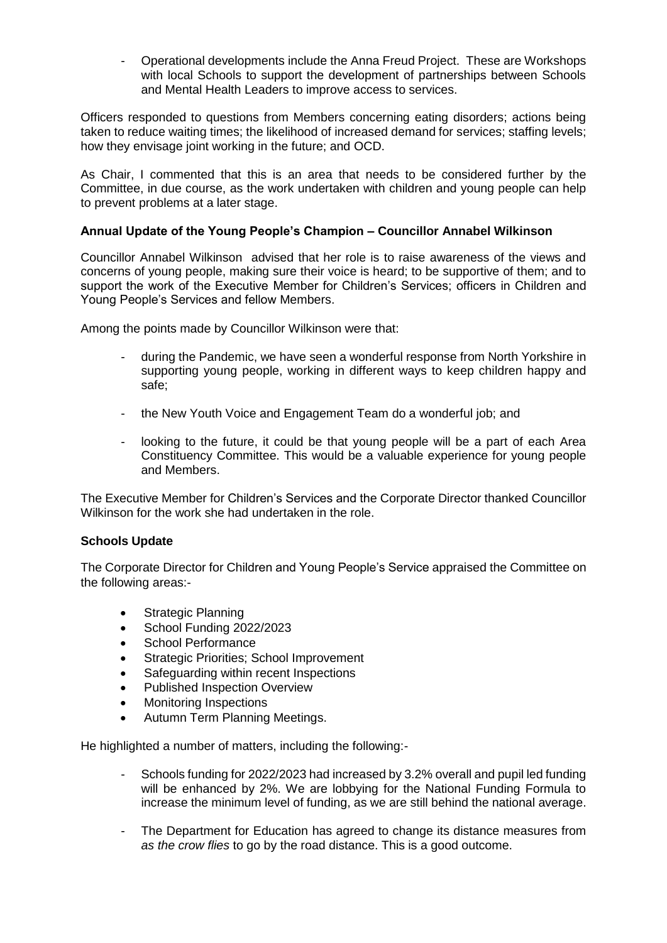- Operational developments include the Anna Freud Project. These are Workshops with local Schools to support the development of partnerships between Schools and Mental Health Leaders to improve access to services.

Officers responded to questions from Members concerning eating disorders; actions being taken to reduce waiting times; the likelihood of increased demand for services; staffing levels; how they envisage joint working in the future; and OCD.

As Chair, I commented that this is an area that needs to be considered further by the Committee, in due course, as the work undertaken with children and young people can help to prevent problems at a later stage.

## **Annual Update of the Young People's Champion – Councillor Annabel Wilkinson**

Councillor Annabel Wilkinson advised that her role is to raise awareness of the views and concerns of young people, making sure their voice is heard; to be supportive of them; and to support the work of the Executive Member for Children's Services; officers in Children and Young People's Services and fellow Members.

Among the points made by Councillor Wilkinson were that:

- during the Pandemic, we have seen a wonderful response from North Yorkshire in supporting young people, working in different ways to keep children happy and safe;
- the New Youth Voice and Engagement Team do a wonderful job: and
- looking to the future, it could be that young people will be a part of each Area Constituency Committee. This would be a valuable experience for young people and Members.

The Executive Member for Children's Services and the Corporate Director thanked Councillor Wilkinson for the work she had undertaken in the role.

## **Schools Update**

The Corporate Director for Children and Young People's Service appraised the Committee on the following areas:-

- Strategic Planning
- School Funding 2022/2023
- School Performance
- Strategic Priorities; School Improvement
- Safeguarding within recent Inspections
- Published Inspection Overview
- Monitoring Inspections
- Autumn Term Planning Meetings.

He highlighted a number of matters, including the following:-

- Schools funding for 2022/2023 had increased by 3.2% overall and pupil led funding will be enhanced by 2%. We are lobbying for the National Funding Formula to increase the minimum level of funding, as we are still behind the national average.
- The Department for Education has agreed to change its distance measures from *as the crow flies* to go by the road distance. This is a good outcome.